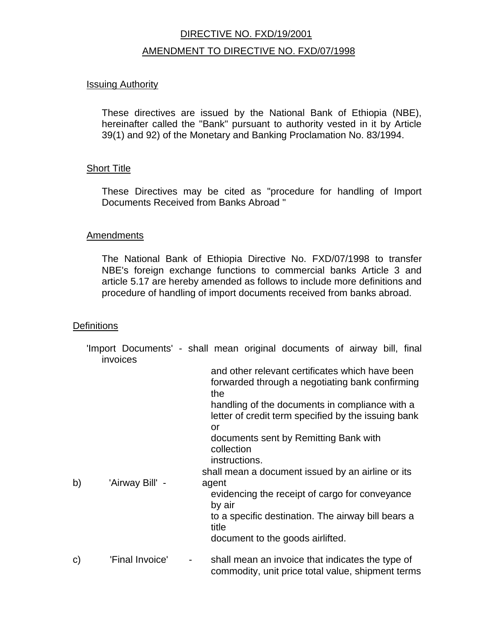# DIRECTIVE NO. FXD/19/2001 AMENDMENT TO DIRECTIVE NO. FXD/07/1998

## **Issuing Authority**

These directives are issued by the National Bank of Ethiopia (NBE), hereinafter called the "Bank" pursuant to authority vested in it by Article 39(1) and 92) of the Monetary and Banking Proclamation No. 83/1994.

# **Short Title**

These Directives may be cited as "procedure for handling of Import Documents Received from Banks Abroad "

#### **Amendments**

The National Bank of Ethiopia Directive No. FXD/07/1998 to transfer NBE's foreign exchange functions to commercial banks Article 3 and article 5.17 are hereby amended as follows to include more definitions and procedure of handling of import documents received from banks abroad.

#### **Definitions**

|    | invoices        | 'Import Documents' - shall mean original documents of airway bill, final                                                                                                                                                 |
|----|-----------------|--------------------------------------------------------------------------------------------------------------------------------------------------------------------------------------------------------------------------|
|    |                 | and other relevant certificates which have been<br>forwarded through a negotiating bank confirming<br>the<br>handling of the documents in compliance with a<br>letter of credit term specified by the issuing bank<br>or |
|    |                 | documents sent by Remitting Bank with<br>collection<br>instructions.<br>shall mean a document issued by an airline or its                                                                                                |
| b) | 'Airway Bill' - | agent<br>evidencing the receipt of cargo for conveyance<br>by air<br>to a specific destination. The airway bill bears a<br>title                                                                                         |
| C) | 'Final Invoice' | document to the goods airlifted.<br>shall mean an invoice that indicates the type of                                                                                                                                     |
|    |                 | commodity, unit price total value, shipment terms                                                                                                                                                                        |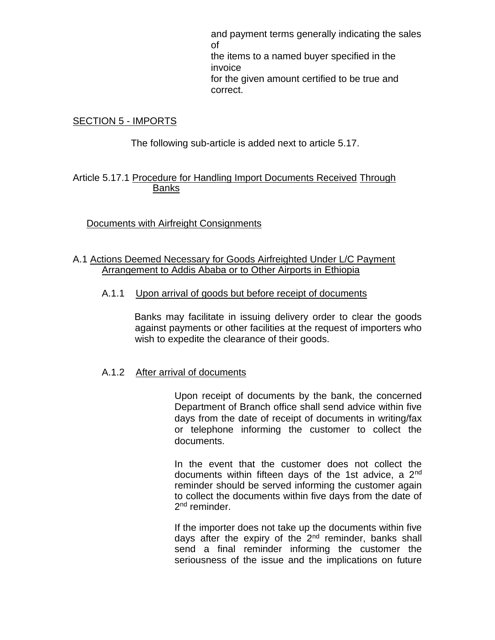and payment terms generally indicating the sales of the items to a named buyer specified in the invoice for the given amount certified to be true and correct.

## SECTION 5 - IMPORTS

The following sub-article is added next to article 5.17.

## Article 5.17.1 Procedure for Handling Import Documents Received Through Banks

# Documents with Airfreight Consignments

# A.1 Actions Deemed Necessary for Goods Airfreighted Under L/C Payment Arrangement to Addis Ababa or to Other Airports in Ethiopia

## A.1.1 Upon arrival of goods but before receipt of documents

Banks may facilitate in issuing delivery order to clear the goods against payments or other facilities at the request of importers who wish to expedite the clearance of their goods.

#### A.1.2 After arrival of documents

Upon receipt of documents by the bank, the concerned Department of Branch office shall send advice within five days from the date of receipt of documents in writing/fax or telephone informing the customer to collect the documents.

In the event that the customer does not collect the documents within fifteen days of the 1st advice, a 2nd reminder should be served informing the customer again to collect the documents within five days from the date of 2<sup>nd</sup> reminder.

If the importer does not take up the documents within five days after the expiry of the 2<sup>nd</sup> reminder, banks shall send a final reminder informing the customer the seriousness of the issue and the implications on future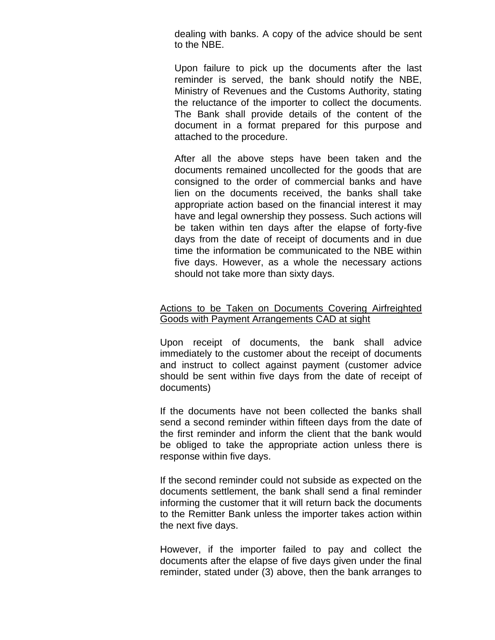dealing with banks. A copy of the advice should be sent to the NBE.

Upon failure to pick up the documents after the last reminder is served, the bank should notify the NBE, Ministry of Revenues and the Customs Authority, stating the reluctance of the importer to collect the documents. The Bank shall provide details of the content of the document in a format prepared for this purpose and attached to the procedure.

After all the above steps have been taken and the documents remained uncollected for the goods that are consigned to the order of commercial banks and have lien on the documents received, the banks shall take appropriate action based on the financial interest it may have and legal ownership they possess. Such actions will be taken within ten days after the elapse of forty-five days from the date of receipt of documents and in due time the information be communicated to the NBE within five days. However, as a whole the necessary actions should not take more than sixty days.

## Actions to be Taken on Documents Covering Airfreighted Goods with Payment Arrangements CAD at sight

Upon receipt of documents, the bank shall advice immediately to the customer about the receipt of documents and instruct to collect against payment (customer advice should be sent within five days from the date of receipt of documents)

If the documents have not been collected the banks shall send a second reminder within fifteen days from the date of the first reminder and inform the client that the bank would be obliged to take the appropriate action unless there is response within five days.

If the second reminder could not subside as expected on the documents settlement, the bank shall send a final reminder informing the customer that it will return back the documents to the Remitter Bank unless the importer takes action within the next five days.

However, if the importer failed to pay and collect the documents after the elapse of five days given under the final reminder, stated under (3) above, then the bank arranges to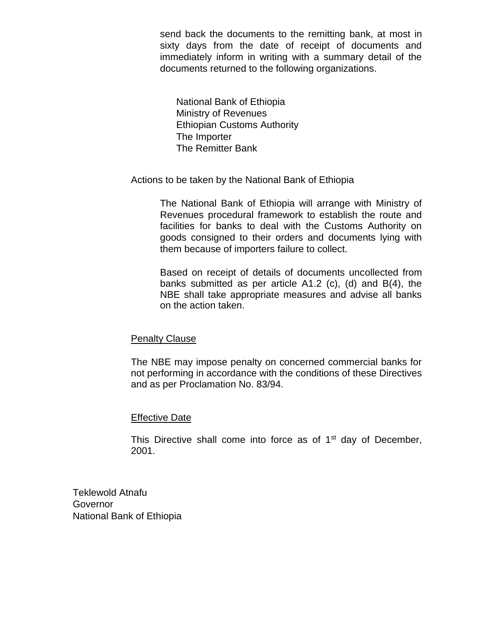send back the documents to the remitting bank, at most in sixty days from the date of receipt of documents and immediately inform in writing with a summary detail of the documents returned to the following organizations.

National Bank of Ethiopia Ministry of Revenues Ethiopian Customs Authority The Importer The Remitter Bank

Actions to be taken by the National Bank of Ethiopia

The National Bank of Ethiopia will arrange with Ministry of Revenues procedural framework to establish the route and facilities for banks to deal with the Customs Authority on goods consigned to their orders and documents lying with them because of importers failure to collect.

Based on receipt of details of documents uncollected from banks submitted as per article A1.2 (c), (d) and B(4), the NBE shall take appropriate measures and advise all banks on the action taken.

# Penalty Clause

The NBE may impose penalty on concerned commercial banks for not performing in accordance with the conditions of these Directives and as per Proclamation No. 83/94.

# Effective Date

This Directive shall come into force as of  $1<sup>st</sup>$  day of December, 2001.

Teklewold Atnafu Governor National Bank of Ethiopia